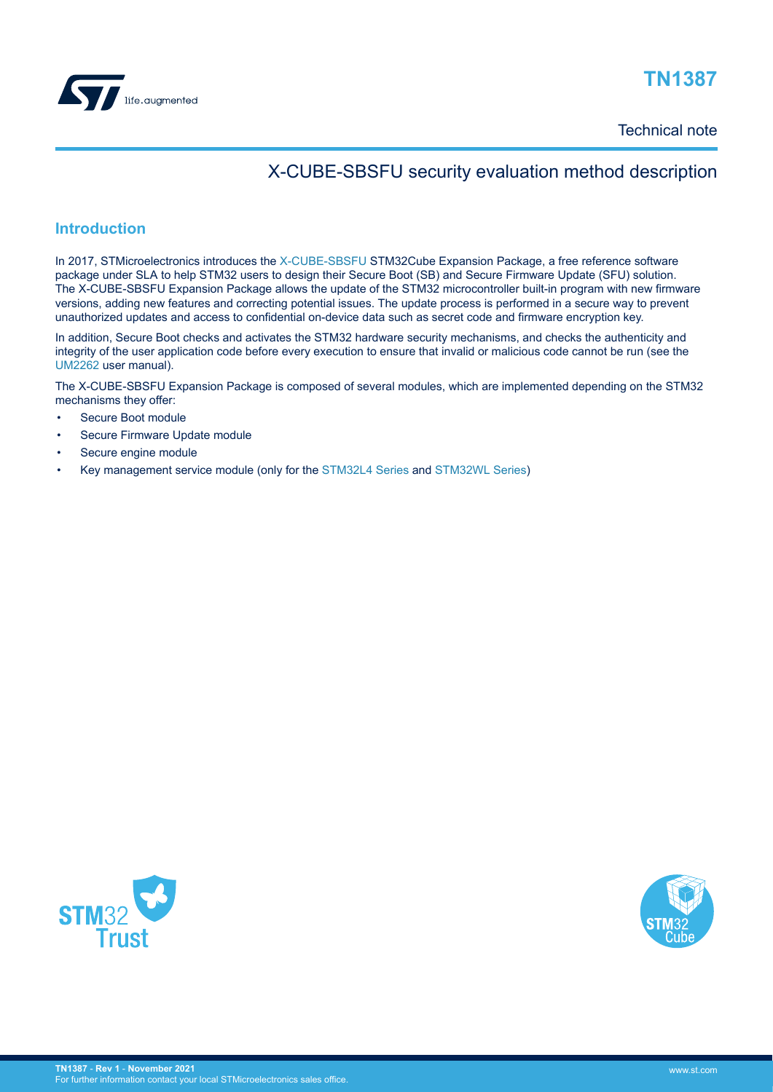

Technical note

## X-CUBE-SBSFU security evaluation method description

### **Introduction**

In 2017, STMicroelectronics introduces the [X-CUBE-SBSFU](https://www.st.com/en/product/x-cube-sbsfu?ecmp=tt9470_gl_link_feb2019&rt=tn&id=TN1387) STM32Cube Expansion Package, a free reference software package under SLA to help STM32 users to design their Secure Boot (SB) and Secure Firmware Update (SFU) solution. The X-CUBE-SBSFU Expansion Package allows the update of the STM32 microcontroller built-in program with new firmware versions, adding new features and correcting potential issues. The update process is performed in a secure way to prevent unauthorized updates and access to confidential on-device data such as secret code and firmware encryption key.

In addition, Secure Boot checks and activates the STM32 hardware security mechanisms, and checks the authenticity and integrity of the user application code before every execution to ensure that invalid or malicious code cannot be run (see the [UM2262](https://www.st.com/resource/en/user_manual/dm00414687.pdf) user manual).

The X-CUBE-SBSFU Expansion Package is composed of several modules, which are implemented depending on the STM32 mechanisms they offer:

- Secure Boot module
- Secure Firmware Update module
- Secure engine module
- Key management service module (only for the [STM32L4 Series](https://www.st.com/en/microcontrollers-microprocessors/stm32l4-series.html) and [STM32WL Series\)](https://www.st.com/en/microcontrollers-microprocessors/stm32wl-series.html)



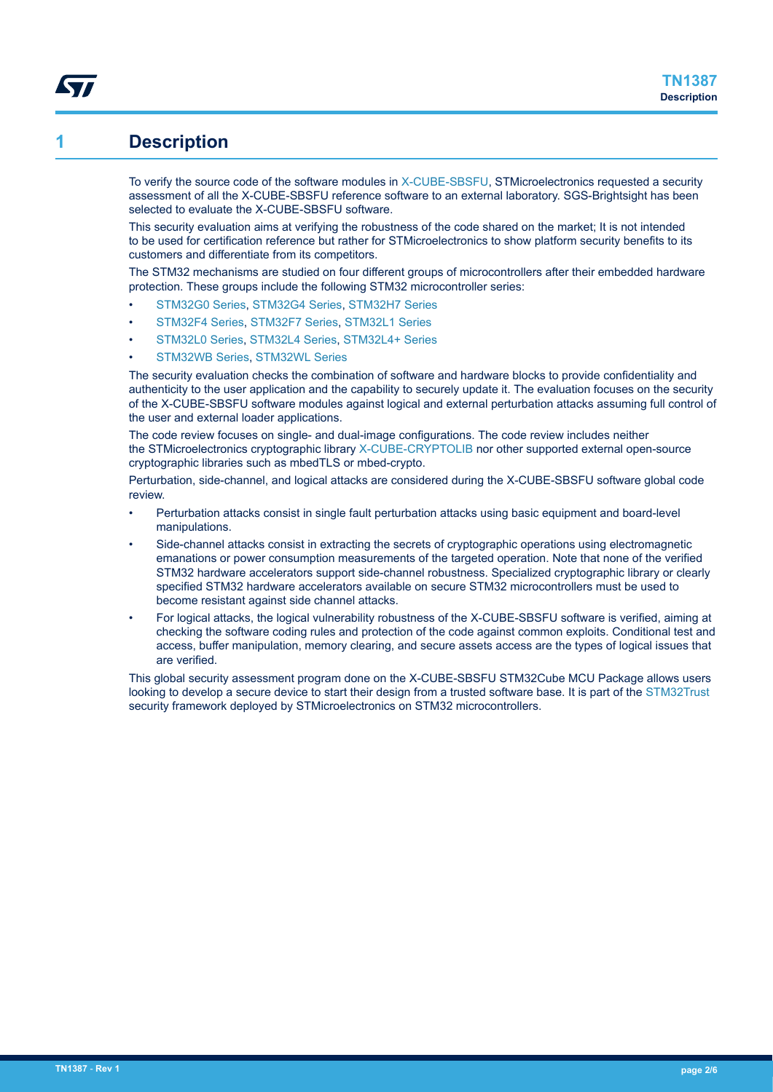## **1 Description**

W

To verify the source code of the software modules in [X-CUBE-SBSFU](https://www.st.com/en/product/x-cube-sbsfu?ecmp=tt9470_gl_link_feb2019&rt=tn&id=TN1387), STMicroelectronics requested a security assessment of all the X-CUBE-SBSFU reference software to an external laboratory. SGS-Brightsight has been selected to evaluate the X-CUBE-SBSFU software.

This security evaluation aims at verifying the robustness of the code shared on the market; It is not intended to be used for certification reference but rather for STMicroelectronics to show platform security benefits to its customers and differentiate from its competitors.

The STM32 mechanisms are studied on four different groups of microcontrollers after their embedded hardware protection. These groups include the following STM32 microcontroller series:

- [STM32G0 Series](https://www.st.com/en/microcontrollers-microprocessors/stm32g0-series.html), [STM32G4 Series,](https://www.st.com/en/microcontrollers-microprocessors/stm32g4-series.html) [STM32H7 Series](https://www.st.com/en/microcontrollers-microprocessors/stm32h7-series.html)
- [STM32F4 Series,](https://www.st.com/en/microcontrollers-microprocessors/stm32f4-series.html) [STM32F7 Series,](https://www.st.com/en/microcontrollers-microprocessors/stm32f7-series.html) [STM32L1 Series](https://www.st.com/en/microcontrollers-microprocessors/stm32l1-series.html)
- [STM32L0 Series,](https://www.st.com/en/microcontrollers-microprocessors/stm32l0-series.html) [STM32L4 Series,](https://www.st.com/en/microcontrollers-microprocessors/stm32l4-series.html) [STM32L4+ Series](https://www.st.com/en/microcontrollers-microprocessors/stm32l4-plus-series.html)
- [STM32WB Series,](https://www.st.com/en/microcontrollers-microprocessors/stm32wb-series.html) [STM32WL Series](https://www.st.com/en/microcontrollers-microprocessors/stm32wl-series.html)

The security evaluation checks the combination of software and hardware blocks to provide confidentiality and authenticity to the user application and the capability to securely update it. The evaluation focuses on the security of the X-CUBE-SBSFU software modules against logical and external perturbation attacks assuming full control of the user and external loader applications.

The code review focuses on single- and dual-image configurations. The code review includes neither the STMicroelectronics cryptographic library [X-CUBE-CRYPTOLIB](https://www.st.com/en/product/x-cube-cryptolib?ecmp=tt9470_gl_link_feb2019&rt=tn&id=TN1387) nor other supported external open-source cryptographic libraries such as mbedTLS or mbed-crypto.

Perturbation, side-channel, and logical attacks are considered during the X-CUBE-SBSFU software global code review.

- Perturbation attacks consist in single fault perturbation attacks using basic equipment and board-level manipulations.
- Side-channel attacks consist in extracting the secrets of cryptographic operations using electromagnetic emanations or power consumption measurements of the targeted operation. Note that none of the verified STM32 hardware accelerators support side-channel robustness. Specialized cryptographic library or clearly specified STM32 hardware accelerators available on secure STM32 microcontrollers must be used to become resistant against side channel attacks.
- For logical attacks, the logical vulnerability robustness of the X-CUBE-SBSFU software is verified, aiming at checking the software coding rules and protection of the code against common exploits. Conditional test and access, buffer manipulation, memory clearing, and secure assets access are the types of logical issues that are verified.

This global security assessment program done on the X-CUBE-SBSFU STM32Cube MCU Package allows users looking to develop a secure device to start their design from a trusted software base. It is part of the [STM32Trust](https://www.st.com/stm32trust) security framework deployed by STMicroelectronics on STM32 microcontrollers.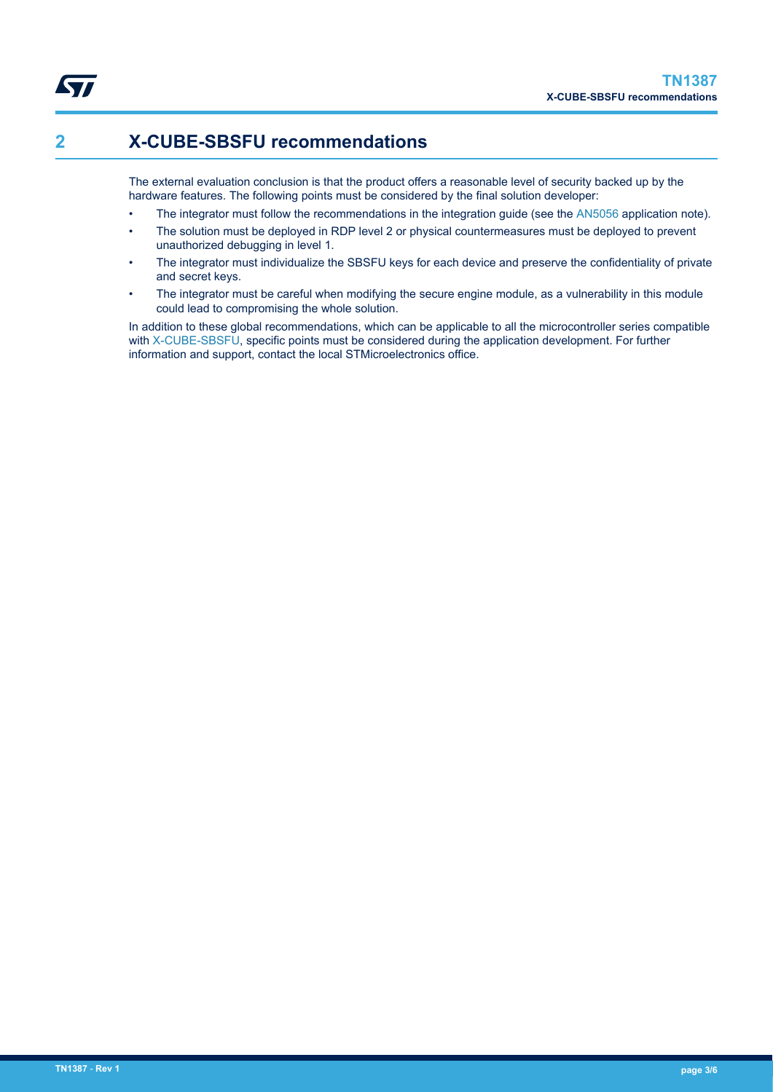# **2 X-CUBE-SBSFU recommendations**

The external evaluation conclusion is that the product offers a reasonable level of security backed up by the hardware features. The following points must be considered by the final solution developer:

- The integrator must follow the recommendations in the integration guide (see the [AN5056](https://www.st.com/resource/en/application_note/dm00414677.pdf) application note).
- The solution must be deployed in RDP level 2 or physical countermeasures must be deployed to prevent unauthorized debugging in level 1.
- The integrator must individualize the SBSFU keys for each device and preserve the confidentiality of private and secret keys.
- The integrator must be careful when modifying the secure engine module, as a vulnerability in this module could lead to compromising the whole solution.

In addition to these global recommendations, which can be applicable to all the microcontroller series compatible with [X-CUBE-SBSFU,](https://www.st.com/en/product/x-cube-sbsfu?ecmp=tt9470_gl_link_feb2019&rt=tn&id=TN1387) specific points must be considered during the application development. For further information and support, contact the local STMicroelectronics office.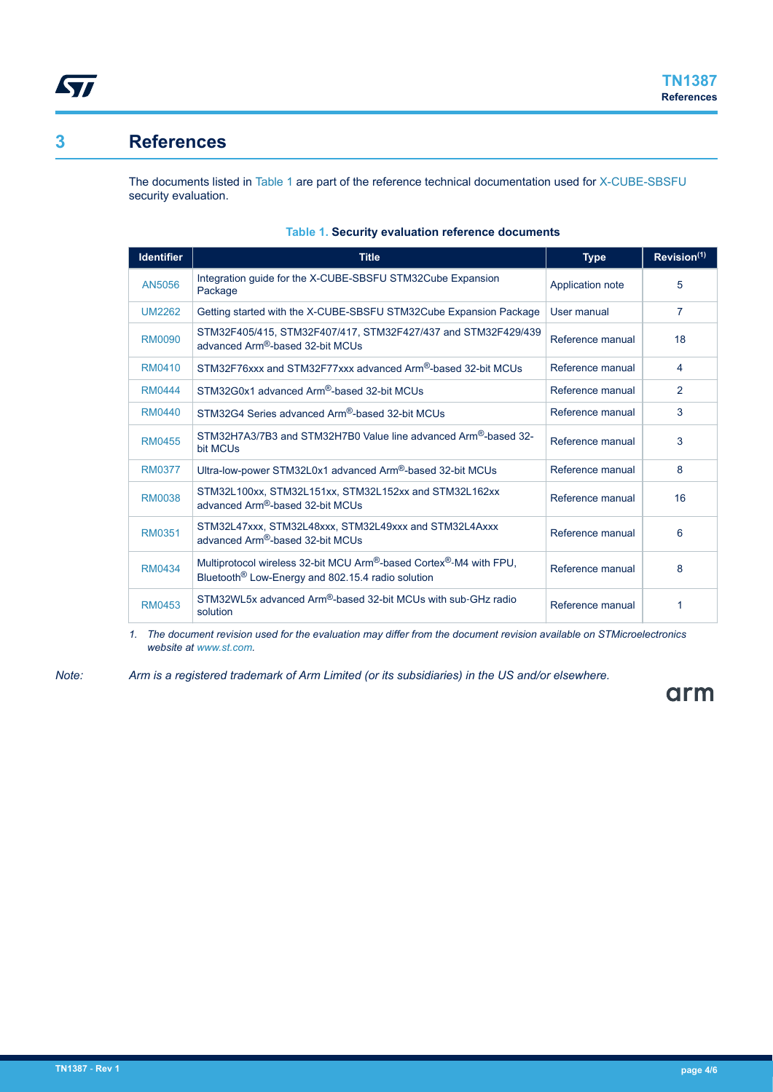

### **3 References**

The documents listed in Table 1 are part of the reference technical documentation used for [X-CUBE-SBSFU](https://www.st.com/en/product/x-cube-sbsfu?ecmp=tt9470_gl_link_feb2019&rt=tn&id=TN1387) security evaluation.

| <b>Identifier</b> | <b>Title</b>                                                                                                                                           | <b>Type</b>      | Revision <sup>(1)</sup> |
|-------------------|--------------------------------------------------------------------------------------------------------------------------------------------------------|------------------|-------------------------|
| AN5056            | Integration guide for the X-CUBE-SBSFU STM32Cube Expansion<br>Application note<br>Package                                                              |                  | 5                       |
| <b>UM2262</b>     | Getting started with the X-CUBE-SBSFU STM32Cube Expansion Package                                                                                      | User manual      | $\overline{7}$          |
| RM0090            | STM32F405/415, STM32F407/417, STM32F427/437 and STM32F429/439<br>advanced Arm®-based 32-bit MCUs                                                       | Reference manual | 18                      |
| RM0410            | STM32F76xxx and STM32F77xxx advanced Arm <sup>®</sup> -based 32-bit MCUs                                                                               | Reference manual | 4                       |
| <b>RM0444</b>     | STM32G0x1 advanced Arm®-based 32-bit MCUs                                                                                                              | Reference manual | 2                       |
| RM0440            | STM32G4 Series advanced Arm®-based 32-bit MCUs                                                                                                         | Reference manual | 3                       |
| <b>RM0455</b>     | STM32H7A3/7B3 and STM32H7B0 Value line advanced Arm®-based 32-<br>bit MCUs                                                                             | Reference manual | 3                       |
| RM0377            | Ultra-low-power STM32L0x1 advanced Arm®-based 32-bit MCUs                                                                                              | Reference manual | 8                       |
| RM0038            | STM32L100xx, STM32L151xx, STM32L152xx and STM32L162xx<br>Reference manual<br>advanced Arm®-based 32-bit MCUs                                           |                  | 16                      |
| RM0351            | STM32L47xxx, STM32L48xxx, STM32L49xxx and STM32L4Axxx<br>advanced Arm®-based 32-bit MCUs                                                               | Reference manual | 6                       |
| RM0434            | Multiprotocol wireless 32-bit MCU Arm®-based Cortex®-M4 with FPU,<br>Reference manual<br>Bluetooth <sup>®</sup> Low-Energy and 802.15.4 radio solution |                  | 8                       |
| RM0453            | STM32WL5x advanced Arm®-based 32-bit MCUs with sub-GHz radio<br>solution                                                                               | Reference manual | 1                       |

#### **Table 1. Security evaluation reference documents**

*1. The document revision used for the evaluation may differ from the document revision available on STMicroelectronics website at [www.st.com](https://www.st.com).*

*Note: Arm is a registered trademark of Arm Limited (or its subsidiaries) in the US and/or elsewhere.*

# arm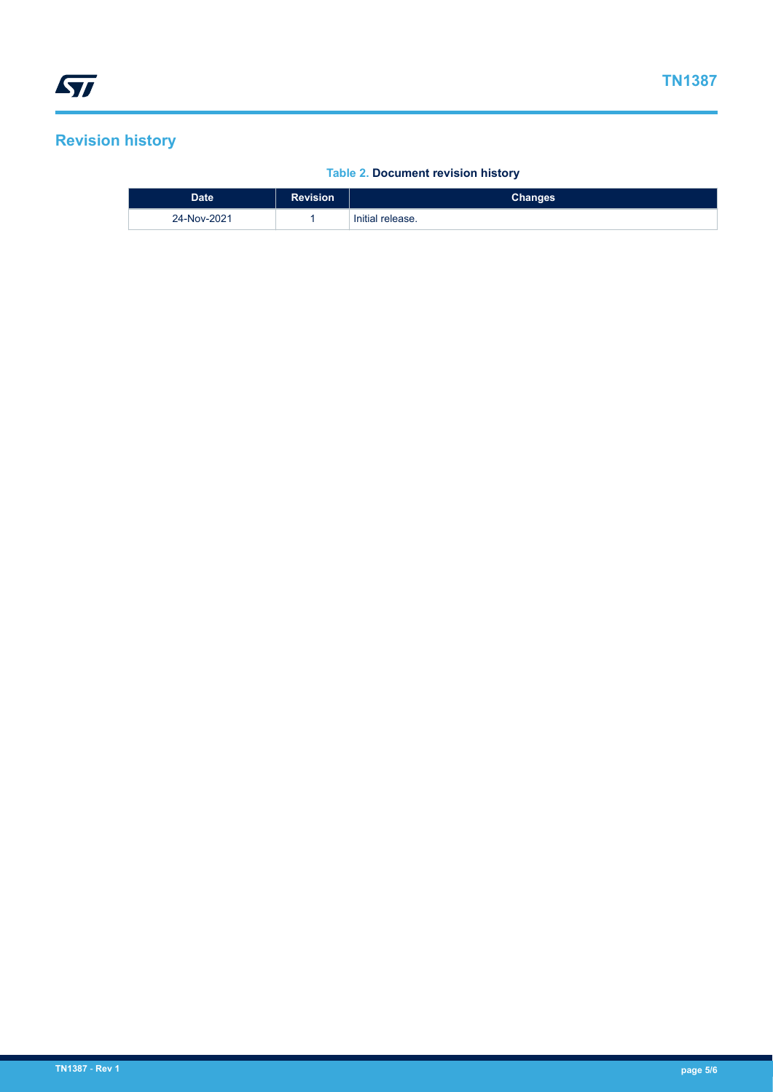# **Revision history**

### **Table 2. Document revision history**

| <b>Date</b> | <b>Revision</b> | Changes <b>i</b> |
|-------------|-----------------|------------------|
| 24-Nov-2021 |                 | Initial release. |